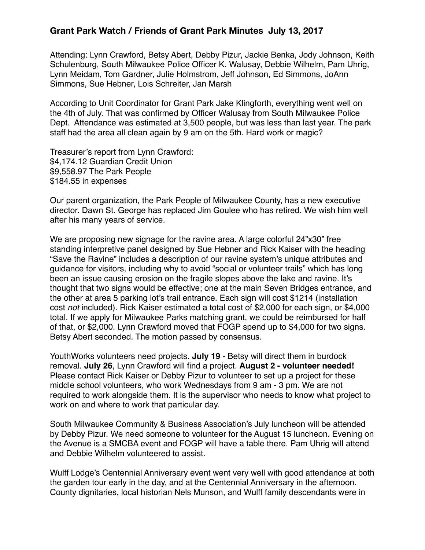## **Grant Park Watch / Friends of Grant Park Minutes July 13, 2017**

Attending: Lynn Crawford, Betsy Abert, Debby Pizur, Jackie Benka, Jody Johnson, Keith Schulenburg, South Milwaukee Police Officer K. Walusay, Debbie Wilhelm, Pam Uhrig, Lynn Meidam, Tom Gardner, Julie Holmstrom, Jeff Johnson, Ed Simmons, JoAnn Simmons, Sue Hebner, Lois Schreiter, Jan Marsh

According to Unit Coordinator for Grant Park Jake Klingforth, everything went well on the 4th of July. That was confirmed by Officer Walusay from South Milwaukee Police Dept. Attendance was estimated at 3,500 people, but was less than last year. The park staff had the area all clean again by 9 am on the 5th. Hard work or magic?

Treasurer's report from Lynn Crawford: \$4,174.12 Guardian Credit Union \$9,558.97 The Park People \$184.55 in expenses

Our parent organization, the Park People of Milwaukee County, has a new executive director. Dawn St. George has replaced Jim Goulee who has retired. We wish him well after his many years of service.

We are proposing new signage for the ravine area. A large colorful 24"x30" free standing interpretive panel designed by Sue Hebner and Rick Kaiser with the heading "Save the Ravine" includes a description of our ravine system's unique attributes and guidance for visitors, including why to avoid "social or volunteer trails" which has long been an issue causing erosion on the fragile slopes above the lake and ravine. It's thought that two signs would be effective; one at the main Seven Bridges entrance, and the other at area 5 parking lot's trail entrance. Each sign will cost \$1214 (installation cost *not* included). Rick Kaiser estimated a total cost of \$2,000 for each sign, or \$4,000 total. If we apply for Milwaukee Parks matching grant, we could be reimbursed for half of that, or \$2,000. Lynn Crawford moved that FOGP spend up to \$4,000 for two signs. Betsy Abert seconded. The motion passed by consensus.

YouthWorks volunteers need projects. **July 19** - Betsy will direct them in burdock removal. **July 26**, Lynn Crawford will find a project. **August 2 - volunteer needed!**  Please contact Rick Kaiser or Debby Pizur to volunteer to set up a project for these middle school volunteers, who work Wednesdays from 9 am - 3 pm. We are not required to work alongside them. It is the supervisor who needs to know what project to work on and where to work that particular day.

South Milwaukee Community & Business Association's July luncheon will be attended by Debby Pizur. We need someone to volunteer for the August 15 luncheon. Evening on the Avenue is a SMCBA event and FOGP will have a table there. Pam Uhrig will attend and Debbie Wilhelm volunteered to assist.

Wulff Lodge's Centennial Anniversary event went very well with good attendance at both the garden tour early in the day, and at the Centennial Anniversary in the afternoon. County dignitaries, local historian Nels Munson, and Wulff family descendants were in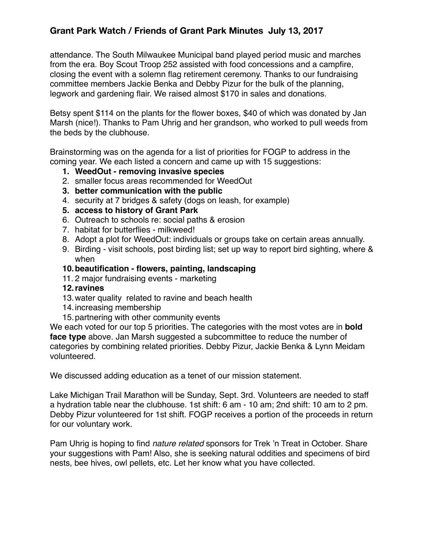## **Grant Park Watch / Friends of Grant Park Minutes July 13, 2017**

attendance. The South Milwaukee Municipal band played period music and marches from the era. Boy Scout Troop 252 assisted with food concessions and a campfire, closing the event with a solemn flag retirement ceremony. Thanks to our fundraising committee members Jackie Benka and Debby Pizur for the bulk of the planning, legwork and gardening flair. We raised almost \$170 in sales and donations.

Betsy spent \$114 on the plants for the flower boxes, \$40 of which was donated by Jan Marsh (nice!). Thanks to Pam Uhrig and her grandson, who worked to pull weeds from the beds by the clubhouse.

Brainstorming was on the agenda for a list of priorities for FOGP to address in the coming year. We each listed a concern and came up with 15 suggestions:

- **1. WeedOut removing invasive species**
- 2. smaller focus areas recommended for WeedOut
- **3. better communication with the public**
- 4. security at 7 bridges & safety (dogs on leash, for example)
- **5. access to history of Grant Park**
- 6. Outreach to schools re: social paths & erosion
- 7. habitat for butterflies milkweed!
- 8. Adopt a plot for WeedOut: individuals or groups take on certain areas annually.
- 9. Birding visit schools, post birding list; set up way to report bird sighting, where & when

## **10.beautification - flowers, painting, landscaping**

- 11. 2 major fundraising events marketing
- **12.ravines**
- 13.water quality related to ravine and beach health
- 14.increasing membership
- 15.partnering with other community events

We each voted for our top 5 priorities. The categories with the most votes are in **bold face type** above. Jan Marsh suggested a subcommittee to reduce the number of categories by combining related priorities. Debby Pizur, Jackie Benka & Lynn Meidam volunteered.

We discussed adding education as a tenet of our mission statement.

Lake Michigan Trail Marathon will be Sunday, Sept. 3rd. Volunteers are needed to staff a hydration table near the clubhouse. 1st shift: 6 am - 10 am; 2nd shift: 10 am to 2 pm. Debby Pizur volunteered for 1st shift. FOGP receives a portion of the proceeds in return for our voluntary work.

Pam Uhrig is hoping to find *nature related* sponsors for Trek 'n Treat in October. Share your suggestions with Pam! Also, she is seeking natural oddities and specimens of bird nests, bee hives, owl pellets, etc. Let her know what you have collected.